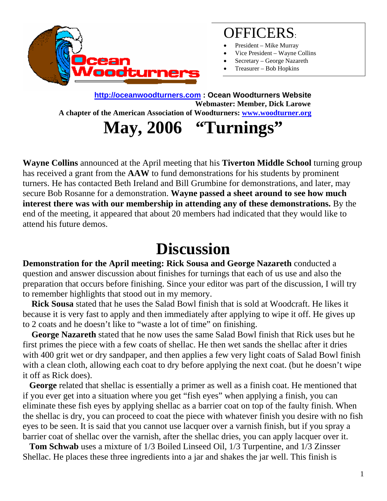

### OFFICERS:

- President Mike Murray
- Vice President Wayne Collins
- Secretary George Nazareth
- Treasurer Bob Hopkins

**[http://oceanwoodturners.com](http://oceanwoodturners.com/) : Ocean Woodturners Website A chapter of the American Association of Woodturners: [www.woodturner.org](http://www.woodturner.org/)  Webmaster: Member, Dick Larowe**

**May, 2006 "Turnings"** 

**Wayne Collins** announced at the April meeting that his **Tiverton Middle School** turning group has received a grant from the **AAW** to fund demonstrations for his students by prominent turners. He has contacted Beth Ireland and Bill Grumbine for demonstrations, and later, may secure Bob Rosanne for a demonstration. **Wayne passed a sheet around to see how much interest there was with our membership in attending any of these demonstrations.** By the end of the meeting, it appeared that about 20 members had indicated that they would like to attend his future demos.

## **Discussion**

**Demonstration for the April meeting: Rick Sousa and George Nazareth** conducted a question and answer discussion about finishes for turnings that each of us use and also the preparation that occurs before finishing. Since your editor was part of the discussion, I will try to remember highlights that stood out in my memory.

 **Rick Sousa** stated that he uses the Salad Bowl finish that is sold at Woodcraft. He likes it because it is very fast to apply and then immediately after applying to wipe it off. He gives up to 2 coats and he doesn't like to "waste a lot of time" on finishing.

 **George Nazareth** stated that he now uses the same Salad Bowl finish that Rick uses but he first primes the piece with a few coats of shellac. He then wet sands the shellac after it dries with 400 grit wet or dry sandpaper, and then applies a few very light coats of Salad Bowl finish with a clean cloth, allowing each coat to dry before applying the next coat. (but he doesn't wipe it off as Rick does).

 **George** related that shellac is essentially a primer as well as a finish coat. He mentioned that if you ever get into a situation where you get "fish eyes" when applying a finish, you can eliminate these fish eyes by applying shellac as a barrier coat on top of the faulty finish. When the shellac is dry, you can proceed to coat the piece with whatever finish you desire with no fish eyes to be seen. It is said that you cannot use lacquer over a varnish finish, but if you spray a barrier coat of shellac over the varnish, after the shellac dries, you can apply lacquer over it.

 **Tom Schwab** uses a mixture of 1/3 Boiled Linseed Oil, 1/3 Turpentine, and 1/3 Zinsser Shellac. He places these three ingredients into a jar and shakes the jar well. This finish is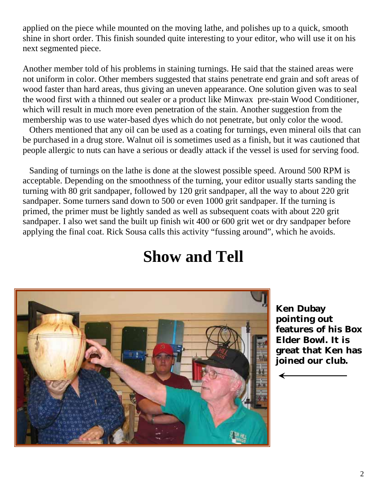applied on the piece while mounted on the moving lathe, and polishes up to a quick, smooth shine in short order. This finish sounded quite interesting to your editor, who will use it on his next segmented piece.

Another member told of his problems in staining turnings. He said that the stained areas were not uniform in color. Other members suggested that stains penetrate end grain and soft areas of wood faster than hard areas, thus giving an uneven appearance. One solution given was to seal the wood first with a thinned out sealer or a product like Minwax pre-stain Wood Conditioner, which will result in much more even penetration of the stain. Another suggestion from the membership was to use water-based dyes which do not penetrate, but only color the wood.

 Others mentioned that any oil can be used as a coating for turnings, even mineral oils that can be purchased in a drug store. Walnut oil is sometimes used as a finish, but it was cautioned that people allergic to nuts can have a serious or deadly attack if the vessel is used for serving food.

 Sanding of turnings on the lathe is done at the slowest possible speed. Around 500 RPM is acceptable. Depending on the smoothness of the turning, your editor usually starts sanding the turning with 80 grit sandpaper, followed by 120 grit sandpaper, all the way to about 220 grit sandpaper. Some turners sand down to 500 or even 1000 grit sandpaper. If the turning is primed, the primer must be lightly sanded as well as subsequent coats with about 220 grit sandpaper. I also wet sand the built up finish wit 400 or 600 grit wet or dry sandpaper before applying the final coat. Rick Sousa calls this activity "fussing around", which he avoids.

# **Show and Tell**



**Ken Dubay pointing out features of his Box Elder Bowl. It is great that Ken has joined our club.**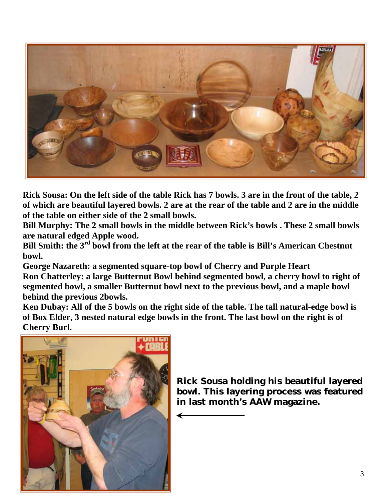

**Rick Sousa: On the left side of the table Rick has 7 bowls. 3 are in the front of the table, 2 of which are beautiful layered bowls. 2 are at the rear of the table and 2 are in the middle of the table on either side of the 2 small bowls.** 

Bill Murphy: The 2 small bowls in the middle between Rick's bowls . These 2 small bowls **are natural edged Apple wood.** 

Bill Smith: the  $3^{rd}$  bowl from the left at the rear of the table is Bill's American Chestnut **bowl.** 

**f Ron Chatterley: a large Butternut Bowl behind segmented bowl, a cherry bowl to right o**  $t$  **segmented bowl, a smaller Butternut bowl next to the previous bowl, and a maple bowl George Nazareth: a segmented square-top bowl of Cherry and Purple Heart behind the previous 2bowls.** 

Ken Dubay: All of the 5 bowls on the right side of the table. The tall natural-edge bowl is **nested natural edge bowls in the front. The last bowl on the right is of of Box Elder, 3 Cherry Burl.** 



**featured bowl. This layering process was ine. in last month's AAW magazRick Sousa holding his beautiful layered**